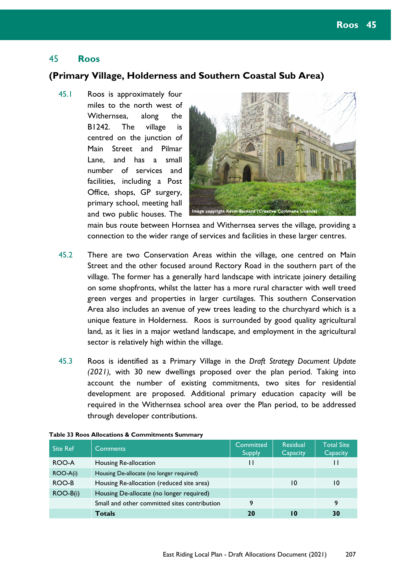# 45 **Roos**

### **(Primary Village, Holderness and Southern Coastal Sub Area)**

45.1 Roos is approximately four miles to the north west of Withernsea, along the B1242. The village is centred on the junction of Main Street and Pilmar Lane, and has a small number of services and facilities, including a Post Office, shops, GP surgery, primary school, meeting hall and two public houses. The



main bus route between Hornsea and Withernsea serves the village, providing a connection to the wider range of services and facilities in these larger centres.

- 45.2 There are two Conservation Areas within the village, one centred on Main Street and the other focused around Rectory Road in the southern part of the village. The former has a generally hard landscape with intricate joinery detailing on some shopfronts, whilst the latter has a more rural character with well treed green verges and properties in larger curtilages. This southern Conservation Area also includes an avenue of yew trees leading to the churchyard which is a unique feature in Holderness. Roos is surrounded by good quality agricultural land, as it lies in a major wetland landscape, and employment in the agricultural sector is relatively high within the village.
- 45.3 Roos is identified as a Primary Village in the *Draft Strategy Document Update (2021),* with 30 new dwellings proposed over the plan period. Taking into account the number of existing commitments, two sites for residential development are proposed. Additional primary education capacity will be required in the Withernsea school area over the Plan period, to be addressed through developer contributions.

| <b>Site Ref</b> | 'Comments                                    | Committed<br><b>Supply</b> | <b>Residual</b><br><b>Capacity</b> | <b>Total Site</b><br>Capacity |
|-----------------|----------------------------------------------|----------------------------|------------------------------------|-------------------------------|
| ROO-A           | Housing Re-allocation                        | $\mathbf{H}$               |                                    |                               |
| ROO-A(i)        | Housing De-allocate (no longer required)     |                            |                                    |                               |
| ROO-B           | Housing Re-allocation (reduced site area)    |                            | 10                                 | 10                            |
| $ROO-B(i)$      | Housing De-allocate (no longer required)     |                            |                                    |                               |
|                 | Small and other committed sites contribution | 9                          |                                    | 9                             |
|                 | <b>Totals</b>                                | 20                         | 10                                 | 30                            |

#### **Table 33 Roos Allocations & Commitments Summary**